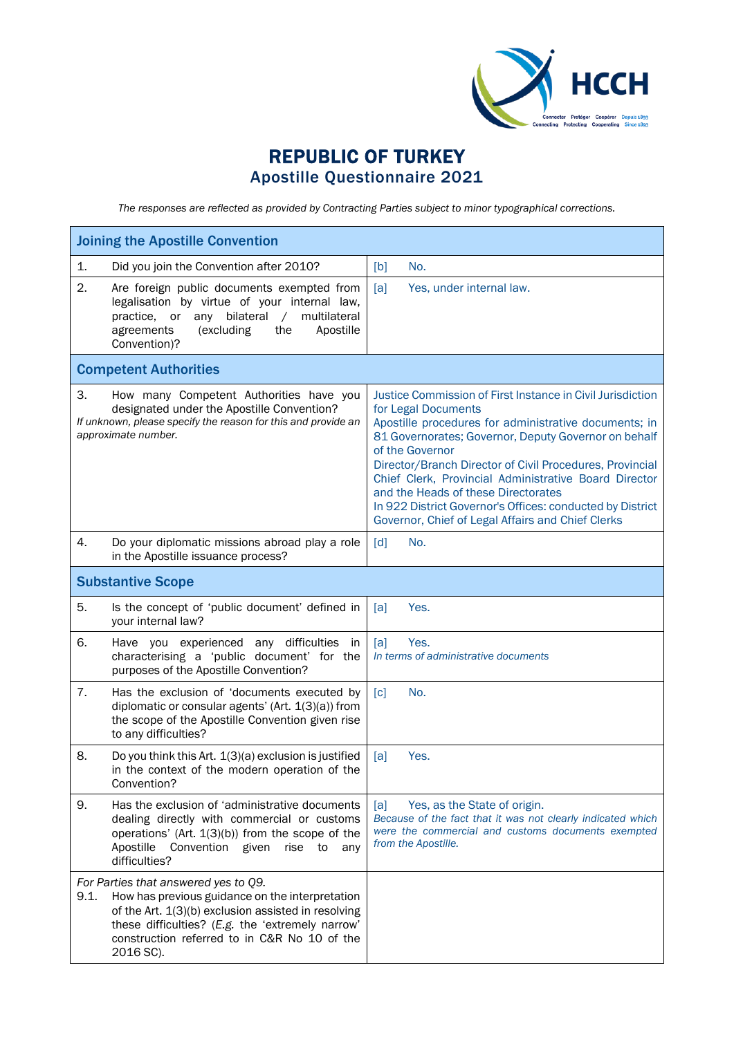

## REPUBLIC OF TURKEY Apostille Questionnaire 2021

*The responses are reflected as provided by Contracting Parties subject to minor typographical corrections.*

| <b>Joining the Apostille Convention</b>                                                                                                                                                                                                                                 |                                                                                                                                                                                                                                                                                                                                                                                                                                                                                                     |  |
|-------------------------------------------------------------------------------------------------------------------------------------------------------------------------------------------------------------------------------------------------------------------------|-----------------------------------------------------------------------------------------------------------------------------------------------------------------------------------------------------------------------------------------------------------------------------------------------------------------------------------------------------------------------------------------------------------------------------------------------------------------------------------------------------|--|
| 1.<br>Did you join the Convention after 2010?                                                                                                                                                                                                                           | No.<br>[b]                                                                                                                                                                                                                                                                                                                                                                                                                                                                                          |  |
| 2.<br>Are foreign public documents exempted from<br>legalisation by virtue of your internal law,<br>bilateral<br>multilateral<br>practice,<br>or<br>any<br>$\sqrt{2}$<br>Apostille<br>agreements<br>(excluding<br>the<br>Convention)?                                   | [a]<br>Yes, under internal law.                                                                                                                                                                                                                                                                                                                                                                                                                                                                     |  |
| <b>Competent Authorities</b>                                                                                                                                                                                                                                            |                                                                                                                                                                                                                                                                                                                                                                                                                                                                                                     |  |
| 3.<br>How many Competent Authorities have you<br>designated under the Apostille Convention?<br>If unknown, please specify the reason for this and provide an<br>approximate number.                                                                                     | Justice Commission of First Instance in Civil Jurisdiction<br>for Legal Documents<br>Apostille procedures for administrative documents; in<br>81 Governorates; Governor, Deputy Governor on behalf<br>of the Governor<br>Director/Branch Director of Civil Procedures, Provincial<br>Chief Clerk, Provincial Administrative Board Director<br>and the Heads of these Directorates<br>In 922 District Governor's Offices: conducted by District<br>Governor, Chief of Legal Affairs and Chief Clerks |  |
| 4.<br>Do your diplomatic missions abroad play a role<br>in the Apostille issuance process?                                                                                                                                                                              | [d]<br>No.                                                                                                                                                                                                                                                                                                                                                                                                                                                                                          |  |
| <b>Substantive Scope</b>                                                                                                                                                                                                                                                |                                                                                                                                                                                                                                                                                                                                                                                                                                                                                                     |  |
| 5.<br>Is the concept of 'public document' defined in<br>your internal law?                                                                                                                                                                                              | Yes.<br>[a]                                                                                                                                                                                                                                                                                                                                                                                                                                                                                         |  |
| 6.<br>Have you experienced any difficulties<br>in<br>characterising a 'public document' for the<br>purposes of the Apostille Convention?                                                                                                                                | Yes.<br>[a]<br>In terms of administrative documents                                                                                                                                                                                                                                                                                                                                                                                                                                                 |  |
| 7.<br>Has the exclusion of 'documents executed by<br>diplomatic or consular agents' (Art. 1(3)(a)) from<br>the scope of the Apostille Convention given rise<br>to any difficulties?                                                                                     | $\lceil c \rceil$<br>No.                                                                                                                                                                                                                                                                                                                                                                                                                                                                            |  |
| 8.<br>Do you think this Art. 1(3)(a) exclusion is justified<br>in the context of the modern operation of the<br>Convention?                                                                                                                                             | [a]<br>Yes.                                                                                                                                                                                                                                                                                                                                                                                                                                                                                         |  |
| 9.<br>Has the exclusion of 'administrative documents<br>dealing directly with commercial or customs<br>operations' (Art. $1(3)(b)$ ) from the scope of the<br>Convention given<br>rise<br>Apostille<br>to<br>any<br>difficulties?                                       | Yes, as the State of origin.<br>[a]<br>Because of the fact that it was not clearly indicated which<br>were the commercial and customs documents exempted<br>from the Apostille.                                                                                                                                                                                                                                                                                                                     |  |
| For Parties that answered yes to Q9.<br>9.1.<br>How has previous guidance on the interpretation<br>of the Art. 1(3)(b) exclusion assisted in resolving<br>these difficulties? (E.g. the 'extremely narrow'<br>construction referred to in C&R No 10 of the<br>2016 SC). |                                                                                                                                                                                                                                                                                                                                                                                                                                                                                                     |  |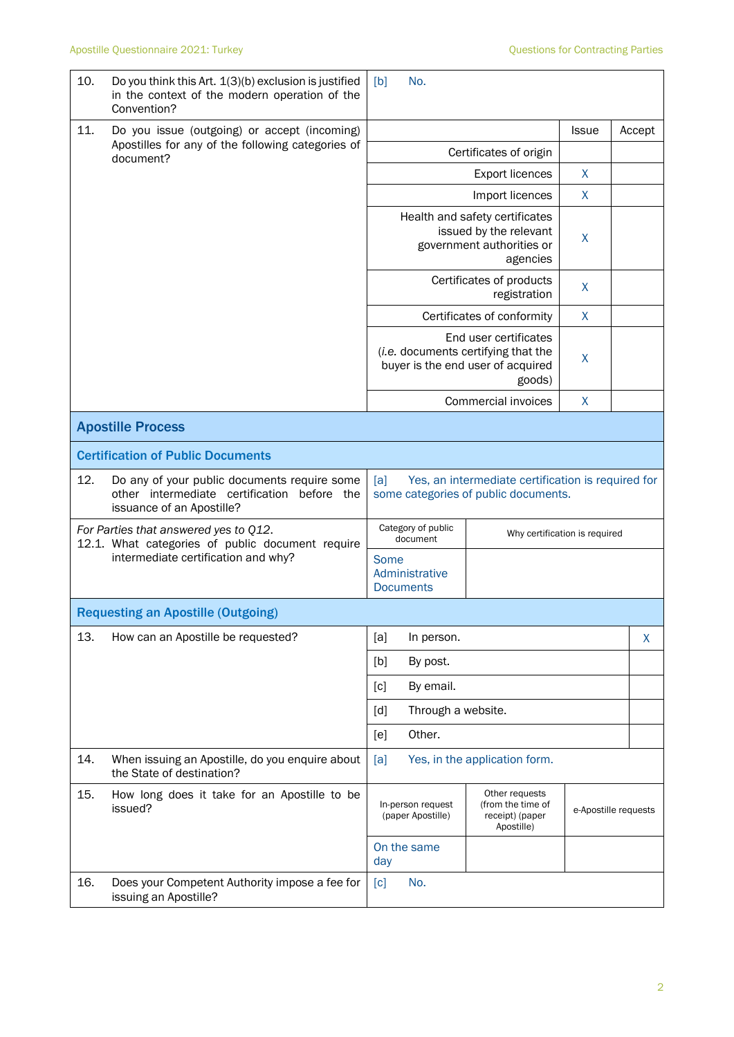| 10.                                                                                       | Do you think this Art. 1(3)(b) exclusion is justified<br>in the context of the modern operation of the<br>Convention?    | No.<br>[b]                                                                                        |                                                                                                             |              |                      |
|-------------------------------------------------------------------------------------------|--------------------------------------------------------------------------------------------------------------------------|---------------------------------------------------------------------------------------------------|-------------------------------------------------------------------------------------------------------------|--------------|----------------------|
| 11.                                                                                       | Do you issue (outgoing) or accept (incoming)                                                                             |                                                                                                   |                                                                                                             | <b>Issue</b> | Accept               |
| document?                                                                                 | Apostilles for any of the following categories of                                                                        | Certificates of origin                                                                            |                                                                                                             |              |                      |
|                                                                                           |                                                                                                                          |                                                                                                   | <b>Export licences</b>                                                                                      | X            |                      |
|                                                                                           | X<br>Import licences                                                                                                     |                                                                                                   |                                                                                                             |              |                      |
|                                                                                           |                                                                                                                          | Health and safety certificates<br>issued by the relevant<br>government authorities or<br>agencies | X                                                                                                           |              |                      |
|                                                                                           |                                                                                                                          |                                                                                                   | Certificates of products<br>registration                                                                    | X            |                      |
|                                                                                           |                                                                                                                          |                                                                                                   | Certificates of conformity                                                                                  | X            |                      |
|                                                                                           |                                                                                                                          |                                                                                                   | End user certificates<br>(i.e. documents certifying that the<br>buyer is the end user of acquired<br>goods) | X            |                      |
|                                                                                           |                                                                                                                          |                                                                                                   | Commercial invoices                                                                                         | X            |                      |
|                                                                                           | <b>Apostille Process</b>                                                                                                 |                                                                                                   |                                                                                                             |              |                      |
|                                                                                           | <b>Certification of Public Documents</b>                                                                                 |                                                                                                   |                                                                                                             |              |                      |
| 12.                                                                                       | Do any of your public documents require some<br>other intermediate certification before the<br>issuance of an Apostille? | [a]                                                                                               | Yes, an intermediate certification is required for<br>some categories of public documents.                  |              |                      |
| For Parties that answered yes to Q12.<br>12.1. What categories of public document require |                                                                                                                          | Category of public<br>Why certification is required<br>document                                   |                                                                                                             |              |                      |
|                                                                                           | intermediate certification and why?                                                                                      | Some<br>Administrative<br><b>Documents</b>                                                        |                                                                                                             |              |                      |
|                                                                                           | <b>Requesting an Apostille (Outgoing)</b>                                                                                |                                                                                                   |                                                                                                             |              |                      |
| 13.                                                                                       | How can an Apostille be requested?                                                                                       | In person.<br>[a]                                                                                 |                                                                                                             |              | X                    |
|                                                                                           |                                                                                                                          | By post.<br>[b]                                                                                   |                                                                                                             |              |                      |
|                                                                                           |                                                                                                                          | By email.<br>[c]                                                                                  |                                                                                                             |              |                      |
|                                                                                           |                                                                                                                          | Through a website.<br>[d]                                                                         |                                                                                                             |              |                      |
|                                                                                           |                                                                                                                          | Other.<br>[e]                                                                                     |                                                                                                             |              |                      |
| 14.                                                                                       | When issuing an Apostille, do you enquire about<br>the State of destination?                                             | [a]                                                                                               | Yes, in the application form.                                                                               |              |                      |
| 15.                                                                                       | How long does it take for an Apostille to be<br>issued?                                                                  | In-person request<br>(paper Apostille)                                                            | Other requests<br>(from the time of<br>receipt) (paper<br>Apostille)                                        |              | e-Apostille requests |
|                                                                                           |                                                                                                                          | On the same<br>day                                                                                |                                                                                                             |              |                      |
| 16.                                                                                       | Does your Competent Authority impose a fee for<br>issuing an Apostille?                                                  | No.<br>[c]                                                                                        |                                                                                                             |              |                      |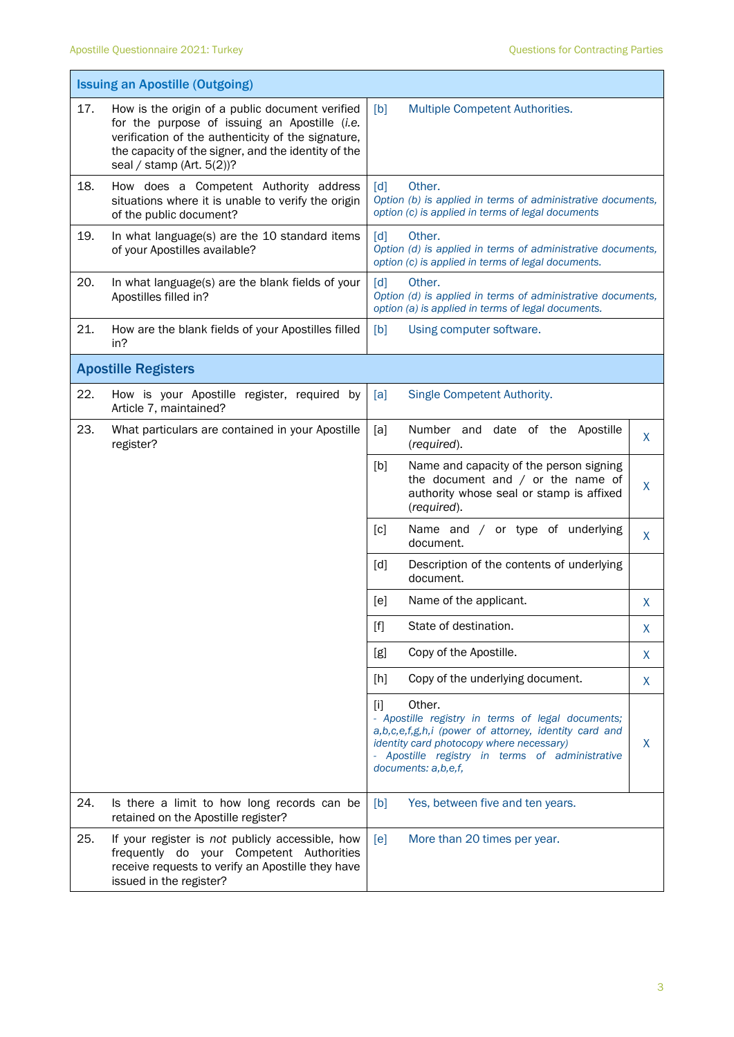|     | <b>Issuing an Apostille (Outgoing)</b>                                                                                                                                                                                                        |                                                                                                                                                                                                                                                        |
|-----|-----------------------------------------------------------------------------------------------------------------------------------------------------------------------------------------------------------------------------------------------|--------------------------------------------------------------------------------------------------------------------------------------------------------------------------------------------------------------------------------------------------------|
| 17. | How is the origin of a public document verified<br>for the purpose of issuing an Apostille (i.e.<br>verification of the authenticity of the signature,<br>the capacity of the signer, and the identity of the<br>seal / stamp (Art. $5(2)$ )? | [b]<br>Multiple Competent Authorities.                                                                                                                                                                                                                 |
| 18. | How does a Competent Authority address<br>situations where it is unable to verify the origin<br>of the public document?                                                                                                                       | Other.<br>[d]<br>Option (b) is applied in terms of administrative documents,<br>option (c) is applied in terms of legal documents                                                                                                                      |
| 19. | In what language(s) are the 10 standard items<br>of your Apostilles available?                                                                                                                                                                | Other.<br>$\lceil d \rceil$<br>Option (d) is applied in terms of administrative documents,<br>option (c) is applied in terms of legal documents.                                                                                                       |
| 20. | In what language(s) are the blank fields of your<br>Apostilles filled in?                                                                                                                                                                     | Other.<br>$\lceil d \rceil$<br>Option (d) is applied in terms of administrative documents,<br>option (a) is applied in terms of legal documents.                                                                                                       |
| 21. | How are the blank fields of your Apostilles filled<br>in?                                                                                                                                                                                     | [b]<br>Using computer software.                                                                                                                                                                                                                        |
|     | <b>Apostille Registers</b>                                                                                                                                                                                                                    |                                                                                                                                                                                                                                                        |
| 22. | How is your Apostille register, required by<br>Article 7, maintained?                                                                                                                                                                         | Single Competent Authority.<br>[a]                                                                                                                                                                                                                     |
| 23. | What particulars are contained in your Apostille<br>register?                                                                                                                                                                                 | Number and date of the<br>[a]<br>Apostille<br>X<br>(required).                                                                                                                                                                                         |
|     |                                                                                                                                                                                                                                               | [b]<br>Name and capacity of the person signing<br>the document and $/$ or the name of<br>X<br>authority whose seal or stamp is affixed<br>(required).                                                                                                  |
|     |                                                                                                                                                                                                                                               | [c]<br>Name and / or type of underlying<br>X<br>document.                                                                                                                                                                                              |
|     |                                                                                                                                                                                                                                               | Description of the contents of underlying<br>[d]<br>document.                                                                                                                                                                                          |
|     |                                                                                                                                                                                                                                               | [e]<br>Name of the applicant.<br>X                                                                                                                                                                                                                     |
|     |                                                                                                                                                                                                                                               | $[f]$<br>State of destination.<br>X                                                                                                                                                                                                                    |
|     |                                                                                                                                                                                                                                               | Copy of the Apostille.<br>[g]<br>X                                                                                                                                                                                                                     |
|     |                                                                                                                                                                                                                                               | Copy of the underlying document.<br>[h]<br>X                                                                                                                                                                                                           |
|     |                                                                                                                                                                                                                                               | Other.<br>$[1]$<br>- Apostille registry in terms of legal documents;<br>a,b,c,e,f,g,h,i (power of attorney, identity card and<br>identity card photocopy where necessary)<br>X<br>Apostille registry in terms of administrative<br>documents: a,b,e,f, |
| 24. | Is there a limit to how long records can be<br>retained on the Apostille register?                                                                                                                                                            | Yes, between five and ten years.<br>[b]                                                                                                                                                                                                                |
| 25. | If your register is not publicly accessible, how<br>frequently do your Competent Authorities<br>receive requests to verify an Apostille they have<br>issued in the register?                                                                  | More than 20 times per year.<br>[e]                                                                                                                                                                                                                    |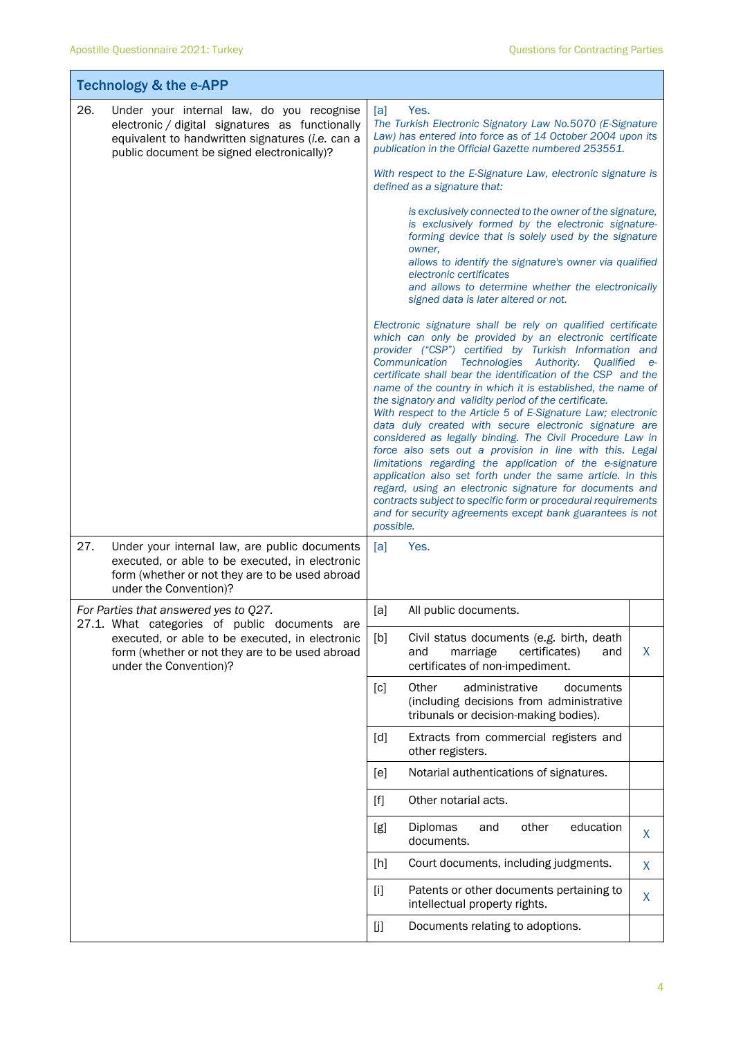T

Ī.

|                                                                                                                              | <b>Technology &amp; the e-APP</b>                                                                                                                                                              |                                                                                                                                                                                                                                                       |                                                                                                                                                                                                                                                                                                                                                                                                                                                                                                                                                                                                                                                                                                                                                                                                                                                                                                                                                                                                     |   |
|------------------------------------------------------------------------------------------------------------------------------|------------------------------------------------------------------------------------------------------------------------------------------------------------------------------------------------|-------------------------------------------------------------------------------------------------------------------------------------------------------------------------------------------------------------------------------------------------------|-----------------------------------------------------------------------------------------------------------------------------------------------------------------------------------------------------------------------------------------------------------------------------------------------------------------------------------------------------------------------------------------------------------------------------------------------------------------------------------------------------------------------------------------------------------------------------------------------------------------------------------------------------------------------------------------------------------------------------------------------------------------------------------------------------------------------------------------------------------------------------------------------------------------------------------------------------------------------------------------------------|---|
| 26.                                                                                                                          | Under your internal law, do you recognise<br>electronic / digital signatures as functionally<br>equivalent to handwritten signatures (i.e. can a<br>public document be signed electronically)? | [a]                                                                                                                                                                                                                                                   | Yes.<br>The Turkish Electronic Signatory Law No.5070 (E-Signature<br>Law) has entered into force as of 14 October 2004 upon its<br>publication in the Official Gazette numbered 253551.<br>With respect to the E-Signature Law, electronic signature is<br>defined as a signature that:<br>is exclusively connected to the owner of the signature,                                                                                                                                                                                                                                                                                                                                                                                                                                                                                                                                                                                                                                                  |   |
|                                                                                                                              |                                                                                                                                                                                                |                                                                                                                                                                                                                                                       | is exclusively formed by the electronic signature-<br>forming device that is solely used by the signature<br>owner,<br>allows to identify the signature's owner via qualified<br>electronic certificates<br>and allows to determine whether the electronically<br>signed data is later altered or not.                                                                                                                                                                                                                                                                                                                                                                                                                                                                                                                                                                                                                                                                                              |   |
|                                                                                                                              |                                                                                                                                                                                                | possible.                                                                                                                                                                                                                                             | Electronic signature shall be rely on qualified certificate<br>which can only be provided by an electronic certificate<br>provider ("CSP") certified by Turkish Information and<br>Communication Technologies Authority. Qualified e-<br>certificate shall bear the identification of the CSP and the<br>name of the country in which it is established, the name of<br>the signatory and validity period of the certificate.<br>With respect to the Article 5 of E-Signature Law; electronic<br>data duly created with secure electronic signature are<br>considered as legally binding. The Civil Procedure Law in<br>force also sets out a provision in line with this. Legal<br>limitations regarding the application of the e-signature<br>application also set forth under the same article. In this<br>regard, using an electronic signature for documents and<br>contracts subject to specific form or procedural requirements<br>and for security agreements except bank guarantees is not |   |
| 27.                                                                                                                          | Under your internal law, are public documents<br>executed, or able to be executed, in electronic<br>form (whether or not they are to be used abroad<br>under the Convention)?                  | [a]                                                                                                                                                                                                                                                   | Yes.                                                                                                                                                                                                                                                                                                                                                                                                                                                                                                                                                                                                                                                                                                                                                                                                                                                                                                                                                                                                |   |
|                                                                                                                              | For Parties that answered yes to Q27.<br>27.1. What categories of public documents are                                                                                                         | [a]                                                                                                                                                                                                                                                   | All public documents.                                                                                                                                                                                                                                                                                                                                                                                                                                                                                                                                                                                                                                                                                                                                                                                                                                                                                                                                                                               |   |
| executed, or able to be executed, in electronic<br>form (whether or not they are to be used abroad<br>under the Convention)? | [b]                                                                                                                                                                                            | Civil status documents (e.g. birth, death<br>certificates)<br>and<br>marriage<br>and<br>certificates of non-impediment.                                                                                                                               | X                                                                                                                                                                                                                                                                                                                                                                                                                                                                                                                                                                                                                                                                                                                                                                                                                                                                                                                                                                                                   |   |
|                                                                                                                              |                                                                                                                                                                                                | [c]                                                                                                                                                                                                                                                   | Other<br>administrative<br>documents<br>(including decisions from administrative<br>tribunals or decision-making bodies).                                                                                                                                                                                                                                                                                                                                                                                                                                                                                                                                                                                                                                                                                                                                                                                                                                                                           |   |
|                                                                                                                              |                                                                                                                                                                                                | [d]                                                                                                                                                                                                                                                   | Extracts from commercial registers and<br>other registers.                                                                                                                                                                                                                                                                                                                                                                                                                                                                                                                                                                                                                                                                                                                                                                                                                                                                                                                                          |   |
|                                                                                                                              |                                                                                                                                                                                                | [e]                                                                                                                                                                                                                                                   | Notarial authentications of signatures.                                                                                                                                                                                                                                                                                                                                                                                                                                                                                                                                                                                                                                                                                                                                                                                                                                                                                                                                                             |   |
|                                                                                                                              |                                                                                                                                                                                                | $[f] % \begin{center} % \includegraphics[width=\linewidth]{imagesSupplemental_3.png} % \end{center} % \caption { % Our method can be used for the use of the image. % Note that the \emph{Left:} \label{fig:case} \vspace{-1em} % \label{fig:case} %$ | Other notarial acts.                                                                                                                                                                                                                                                                                                                                                                                                                                                                                                                                                                                                                                                                                                                                                                                                                                                                                                                                                                                |   |
|                                                                                                                              |                                                                                                                                                                                                | [g]                                                                                                                                                                                                                                                   | other<br>education<br>Diplomas<br>and<br>documents.                                                                                                                                                                                                                                                                                                                                                                                                                                                                                                                                                                                                                                                                                                                                                                                                                                                                                                                                                 | X |
|                                                                                                                              |                                                                                                                                                                                                | [h]                                                                                                                                                                                                                                                   | Court documents, including judgments.                                                                                                                                                                                                                                                                                                                                                                                                                                                                                                                                                                                                                                                                                                                                                                                                                                                                                                                                                               | X |
|                                                                                                                              |                                                                                                                                                                                                | $[1]$                                                                                                                                                                                                                                                 | Patents or other documents pertaining to<br>intellectual property rights.                                                                                                                                                                                                                                                                                                                                                                                                                                                                                                                                                                                                                                                                                                                                                                                                                                                                                                                           | X |
|                                                                                                                              |                                                                                                                                                                                                | [j]                                                                                                                                                                                                                                                   | Documents relating to adoptions.                                                                                                                                                                                                                                                                                                                                                                                                                                                                                                                                                                                                                                                                                                                                                                                                                                                                                                                                                                    |   |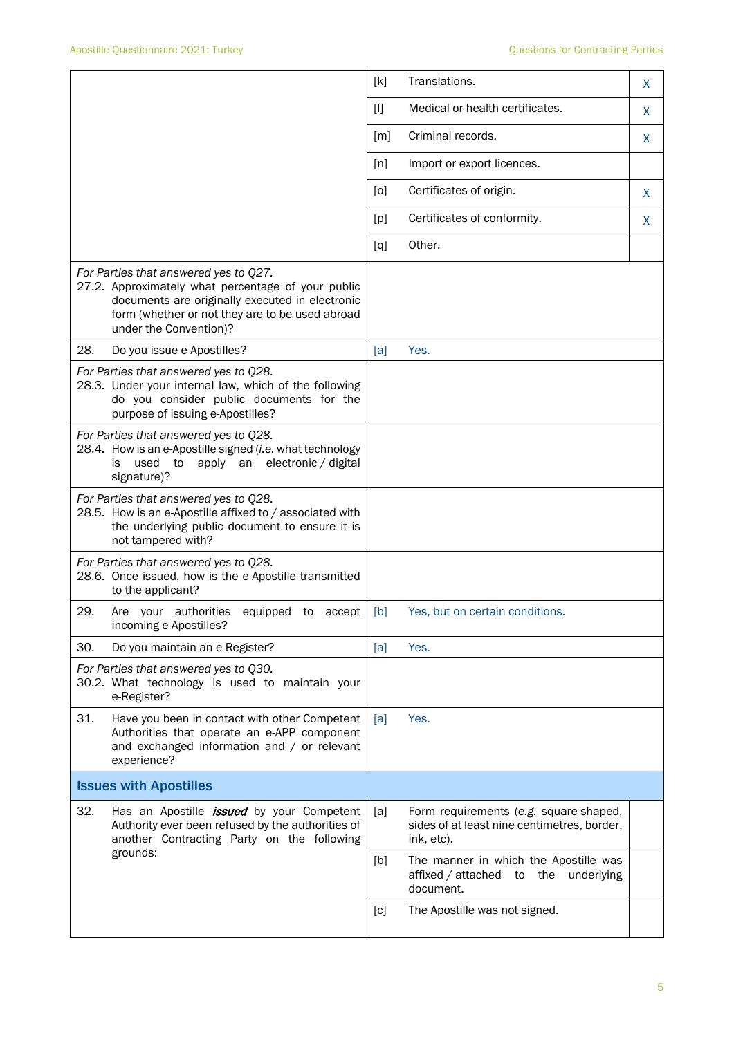|                                                                                                                                                                                                                             | [k]   | Translations.                                                                                       | X |
|-----------------------------------------------------------------------------------------------------------------------------------------------------------------------------------------------------------------------------|-------|-----------------------------------------------------------------------------------------------------|---|
|                                                                                                                                                                                                                             | $[1]$ | Medical or health certificates.                                                                     | X |
|                                                                                                                                                                                                                             | [m]   | Criminal records.                                                                                   | X |
|                                                                                                                                                                                                                             | [n]   | Import or export licences.                                                                          |   |
|                                                                                                                                                                                                                             | [0]   | Certificates of origin.                                                                             | X |
|                                                                                                                                                                                                                             | [p]   | Certificates of conformity.                                                                         | X |
|                                                                                                                                                                                                                             | [q]   | Other.                                                                                              |   |
| For Parties that answered yes to Q27.<br>27.2. Approximately what percentage of your public<br>documents are originally executed in electronic<br>form (whether or not they are to be used abroad<br>under the Convention)? |       |                                                                                                     |   |
| 28.<br>Do you issue e-Apostilles?                                                                                                                                                                                           | [a]   | Yes.                                                                                                |   |
| For Parties that answered yes to Q28.<br>28.3. Under your internal law, which of the following<br>do you consider public documents for the<br>purpose of issuing e-Apostilles?                                              |       |                                                                                                     |   |
| For Parties that answered yes to Q28.<br>28.4. How is an e-Apostille signed (i.e. what technology<br>used<br>apply an electronic / digital<br>to<br>is<br>signature)?                                                       |       |                                                                                                     |   |
| For Parties that answered yes to Q28.<br>28.5. How is an e-Apostille affixed to / associated with<br>the underlying public document to ensure it is<br>not tampered with?                                                   |       |                                                                                                     |   |
| For Parties that answered yes to Q28.<br>28.6. Once issued, how is the e-Apostille transmitted<br>to the applicant?                                                                                                         |       |                                                                                                     |   |
| 29.<br>Are your authorities equipped to accept<br>incoming e-Apostilles?                                                                                                                                                    | [b]   | Yes, but on certain conditions.                                                                     |   |
| 30.<br>Do you maintain an e-Register?                                                                                                                                                                                       | [a]   | Yes.                                                                                                |   |
| For Parties that answered yes to Q30.<br>30.2. What technology is used to maintain your<br>e-Register?                                                                                                                      |       |                                                                                                     |   |
| 31.<br>Have you been in contact with other Competent<br>Authorities that operate an e-APP component<br>and exchanged information and / or relevant<br>experience?                                                           | [a]   | Yes.                                                                                                |   |
| <b>Issues with Apostilles</b>                                                                                                                                                                                               |       |                                                                                                     |   |
| 32.<br>Has an Apostille <i>issued</i> by your Competent<br>Authority ever been refused by the authorities of<br>another Contracting Party on the following                                                                  | [a]   | Form requirements (e.g. square-shaped,<br>sides of at least nine centimetres, border,<br>ink, etc). |   |
| grounds:                                                                                                                                                                                                                    | [b]   | The manner in which the Apostille was<br>affixed / attached to the underlying<br>document.          |   |
|                                                                                                                                                                                                                             | [c]   | The Apostille was not signed.                                                                       |   |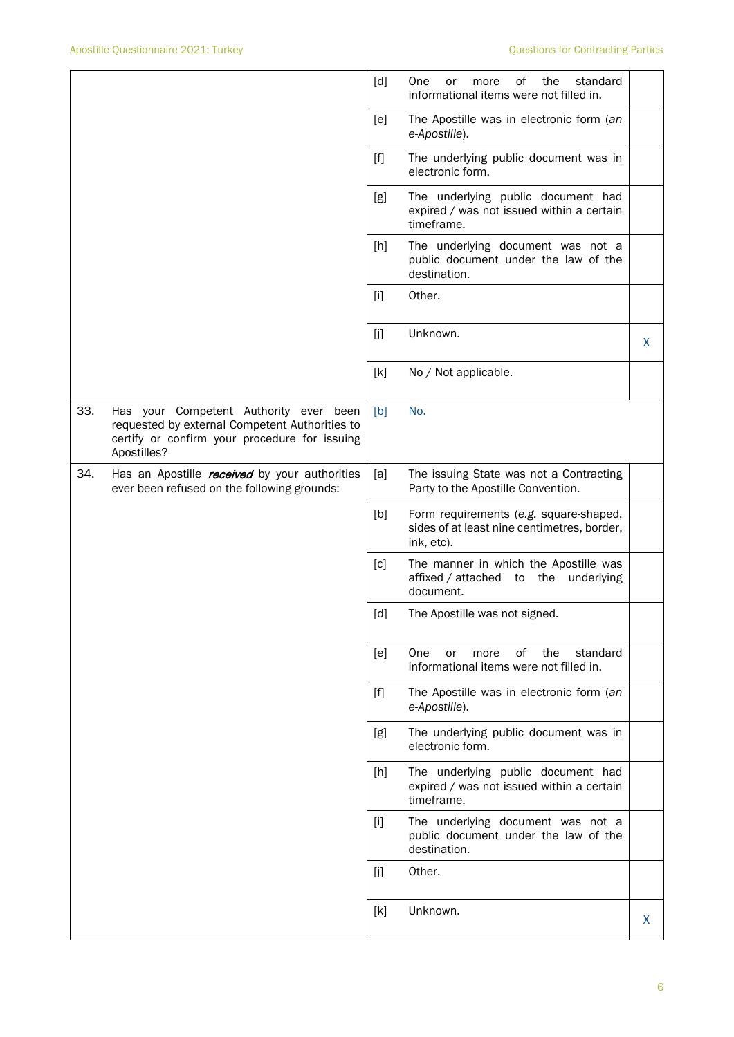|     |                                                                                                                                                          | [d]               | οf<br>the<br>One<br>standard<br>or<br>more<br>informational items were not filled in.               |   |
|-----|----------------------------------------------------------------------------------------------------------------------------------------------------------|-------------------|-----------------------------------------------------------------------------------------------------|---|
|     |                                                                                                                                                          | [e]               | The Apostille was in electronic form (an<br>e-Apostille).                                           |   |
|     |                                                                                                                                                          | $[f]$             | The underlying public document was in<br>electronic form.                                           |   |
|     |                                                                                                                                                          | [g]               | The underlying public document had<br>expired / was not issued within a certain<br>timeframe.       |   |
|     |                                                                                                                                                          | [h]               | The underlying document was not a<br>public document under the law of the<br>destination.           |   |
|     |                                                                                                                                                          | $[1]$             | Other.                                                                                              |   |
|     |                                                                                                                                                          | [j]               | Unknown.                                                                                            | X |
|     |                                                                                                                                                          | [k]               | No / Not applicable.                                                                                |   |
| 33. | Has your Competent Authority ever been<br>requested by external Competent Authorities to<br>certify or confirm your procedure for issuing<br>Apostilles? | [b]               | No.                                                                                                 |   |
| 34. | Has an Apostille <i>received</i> by your authorities<br>ever been refused on the following grounds:                                                      | [a]               | The issuing State was not a Contracting<br>Party to the Apostille Convention.                       |   |
|     |                                                                                                                                                          | [b]               | Form requirements (e.g. square-shaped,<br>sides of at least nine centimetres, border,<br>ink, etc). |   |
|     |                                                                                                                                                          | [c]               | The manner in which the Apostille was<br>affixed / attached to the underlying<br>document.          |   |
|     |                                                                                                                                                          | $\lceil d \rceil$ | The Apostille was not signed.                                                                       |   |
|     |                                                                                                                                                          | [e]               | of<br>the<br>standard<br>One<br>or<br>more<br>informational items were not filled in.               |   |
|     |                                                                                                                                                          | $[f]$             | The Apostille was in electronic form (an<br>e-Apostille).                                           |   |
|     |                                                                                                                                                          | [g]               | The underlying public document was in<br>electronic form.                                           |   |
|     |                                                                                                                                                          | [h]               | The underlying public document had<br>expired / was not issued within a certain<br>timeframe.       |   |
|     |                                                                                                                                                          | $[1]$             | The underlying document was not a<br>public document under the law of the<br>destination.           |   |
|     |                                                                                                                                                          | [j]               | Other.                                                                                              |   |
|     |                                                                                                                                                          | [k]               | Unknown.                                                                                            | X |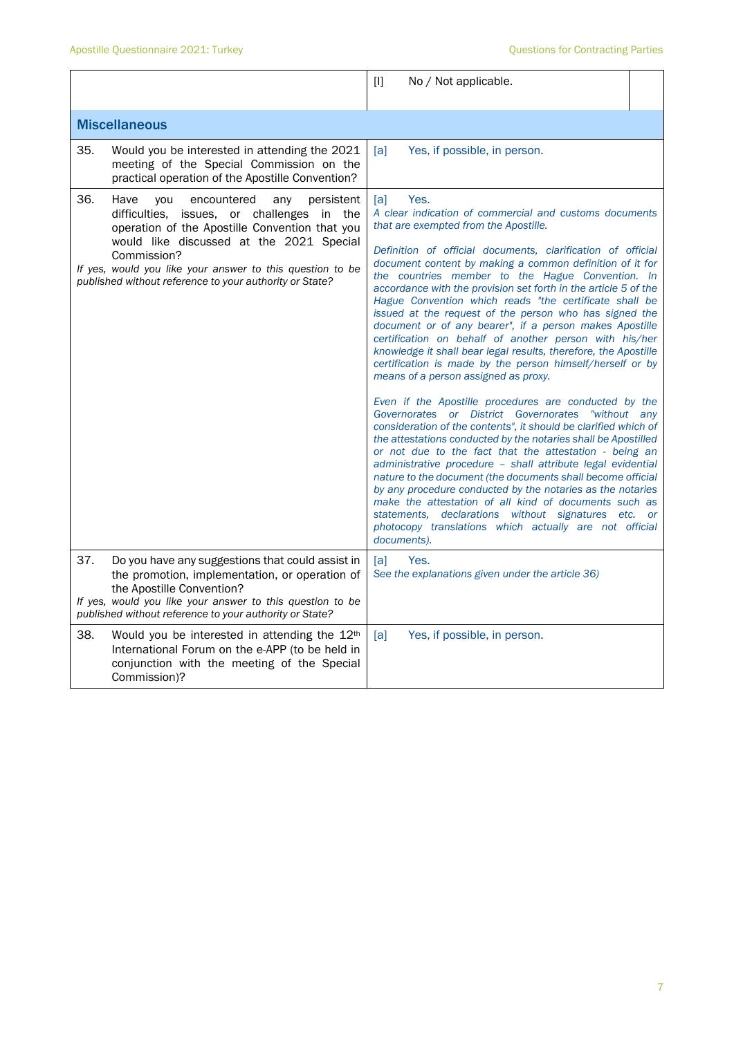|     |                                                                                                                                                                                                                                                                                                                                    | [1]<br>No / Not applicable.                                                                                                                                                                                                                                                                                                                                                                                                                                                                                                                                                                                                                                                                                                                                                                                                                                                                                                                                                                                                                                                                                                                                                                                                                                                                                                                                                                                                                                                             |  |
|-----|------------------------------------------------------------------------------------------------------------------------------------------------------------------------------------------------------------------------------------------------------------------------------------------------------------------------------------|-----------------------------------------------------------------------------------------------------------------------------------------------------------------------------------------------------------------------------------------------------------------------------------------------------------------------------------------------------------------------------------------------------------------------------------------------------------------------------------------------------------------------------------------------------------------------------------------------------------------------------------------------------------------------------------------------------------------------------------------------------------------------------------------------------------------------------------------------------------------------------------------------------------------------------------------------------------------------------------------------------------------------------------------------------------------------------------------------------------------------------------------------------------------------------------------------------------------------------------------------------------------------------------------------------------------------------------------------------------------------------------------------------------------------------------------------------------------------------------------|--|
|     | <b>Miscellaneous</b>                                                                                                                                                                                                                                                                                                               |                                                                                                                                                                                                                                                                                                                                                                                                                                                                                                                                                                                                                                                                                                                                                                                                                                                                                                                                                                                                                                                                                                                                                                                                                                                                                                                                                                                                                                                                                         |  |
| 35. | Would you be interested in attending the 2021<br>meeting of the Special Commission on the<br>practical operation of the Apostille Convention?                                                                                                                                                                                      | [a]<br>Yes, if possible, in person.                                                                                                                                                                                                                                                                                                                                                                                                                                                                                                                                                                                                                                                                                                                                                                                                                                                                                                                                                                                                                                                                                                                                                                                                                                                                                                                                                                                                                                                     |  |
| 36. | Have<br>encountered<br>you<br>any<br>persistent<br>difficulties, issues, or challenges in the<br>operation of the Apostille Convention that you<br>would like discussed at the 2021 Special<br>Commission?<br>If yes, would you like your answer to this question to be<br>published without reference to your authority or State? | Yes.<br>[a]<br>A clear indication of commercial and customs documents<br>that are exempted from the Apostille.<br>Definition of official documents, clarification of official<br>document content by making a common definition of it for<br>the countries member to the Hague Convention. In<br>accordance with the provision set forth in the article 5 of the<br>Hague Convention which reads "the certificate shall be<br>issued at the request of the person who has signed the<br>document or of any bearer", if a person makes Apostille<br>certification on behalf of another person with his/her<br>knowledge it shall bear legal results, therefore, the Apostille<br>certification is made by the person himself/herself or by<br>means of a person assigned as proxy.<br>Even if the Apostille procedures are conducted by the<br>Governorates or District Governorates<br>"without any<br>consideration of the contents", it should be clarified which of<br>the attestations conducted by the notaries shall be Apostilled<br>or not due to the fact that the attestation - being an<br>administrative procedure - shall attribute legal evidential<br>nature to the document (the documents shall become official<br>by any procedure conducted by the notaries as the notaries<br>make the attestation of all kind of documents such as<br>statements, declarations without signatures etc. or<br>photocopy translations which actually are not official<br>documents). |  |
| 37. | Do you have any suggestions that could assist in<br>the promotion, implementation, or operation of<br>the Apostille Convention?<br>If yes, would you like your answer to this question to be<br>published without reference to your authority or State?                                                                            | [a]<br>Yes.<br>See the explanations given under the article 36)                                                                                                                                                                                                                                                                                                                                                                                                                                                                                                                                                                                                                                                                                                                                                                                                                                                                                                                                                                                                                                                                                                                                                                                                                                                                                                                                                                                                                         |  |
| 38. | Would you be interested in attending the 12th<br>International Forum on the e-APP (to be held in<br>conjunction with the meeting of the Special<br>Commission)?                                                                                                                                                                    | [a]<br>Yes, if possible, in person.                                                                                                                                                                                                                                                                                                                                                                                                                                                                                                                                                                                                                                                                                                                                                                                                                                                                                                                                                                                                                                                                                                                                                                                                                                                                                                                                                                                                                                                     |  |